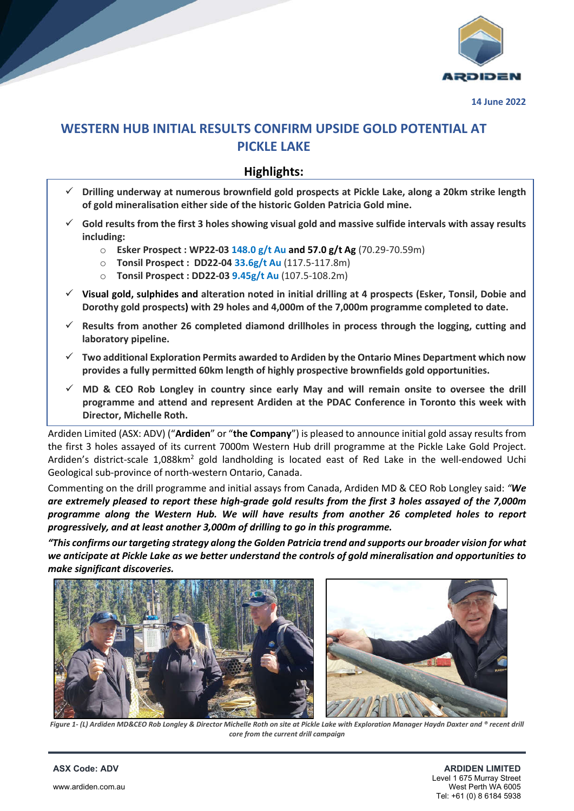

# **WESTERN HUB INITIAL RESULTS CONFIRM UPSIDE GOLD POTENTIAL AT PICKLE LAKE**

# **Highlights:**

- **Drilling underway at numerous brownfield gold prospects at Pickle Lake, along a 20km strike length of gold mineralisation either side of the historic Golden Patricia Gold mine.**
- **Gold results from the first 3 holes showing visual gold and massive sulfide intervals with assay results including:**
	- o **Esker Prospect : WP22-03 148.0 g/t Au and 57.0 g/t Ag** (70.29-70.59m)
	- o **Tonsil Prospect : DD22-04 33.6g/t Au** (117.5-117.8m)
	- o **Tonsil Prospect : DD22-03 9.45g/t Au** (107.5-108.2m)
- **Visual gold, sulphides and alteration noted in initial drilling at 4 prospects (Esker, Tonsil, Dobie and Dorothy gold prospects) with 29 holes and 4,000m of the 7,000m programme completed to date.**
- **Results from another 26 completed diamond drillholes in process through the logging, cutting and laboratory pipeline.**
- **Two additional Exploration Permits awarded to Ardiden by the Ontario Mines Department which now provides a fully permitted 60km length of highly prospective brownfields gold opportunities.**
- **MD & CEO Rob Longley in country since early May and will remain onsite to oversee the drill programme and attend and represent Ardiden at the PDAC Conference in Toronto this week with Director, Michelle Roth.**

Ardiden Limited (ASX: ADV) ("**Ardiden**" or "**the Company**") is pleased to announce initial gold assay results from the first 3 holes assayed of its current 7000m Western Hub drill programme at the Pickle Lake Gold Project. Ardiden's district-scale 1,088km<sup>2</sup> gold landholding is located east of Red Lake in the well-endowed Uchi Geological sub-province of north-western Ontario, Canada.

Commenting on the drill programme and initial assays from Canada, Ardiden MD & CEO Rob Longley said: *"We are extremely pleased to report these high-grade gold results from the first 3 holes assayed of the 7,000m programme along the Western Hub. We will have results from another 26 completed holes to report progressively, and at least another 3,000m of drilling to go in this programme.*

*"This confirms our targeting strategy along the Golden Patricia trend and supports our broader vision for what we anticipate at Pickle Lake as we better understand the controls of gold mineralisation and opportunities to make significant discoveries.*





*Figure 1- (L) Ardiden MD&CEO Rob Longley & Director Michelle Roth on site at Pickle Lake with Exploration Manager Haydn Daxter and ® recent drill core from the current drill campaign*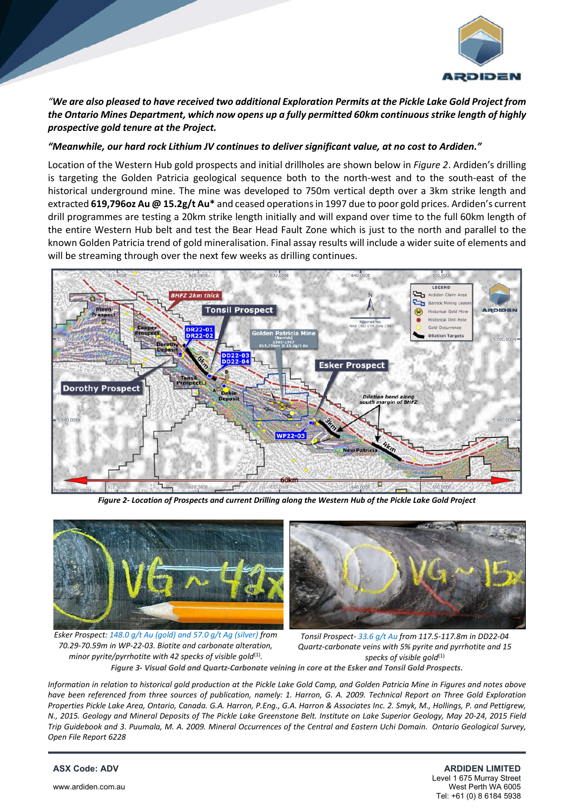

*"We are also pleased to have received two additional Exploration Permits at the Pickle Lake Gold Project from the Ontario Mines Department, which now opens up a fully permitted 60km continuous strike length of highly prospective gold tenure at the Project.* 

#### *"Meanwhile, our hard rock Lithium JV continues to deliver significant value, at no cost to Ardiden."*

Location of the Western Hub gold prospects and initial drillholes are shown below in *Figure 2*. Ardiden's drilling is targeting the Golden Patricia geological sequence both to the north-west and to the south-east of the historical underground mine. The mine was developed to 750m vertical depth over a 3km strike length and extracted **619,796oz Au @ 15.2g/t Au\*** and ceased operations in 1997 due to poor gold prices. Ardiden's current drill programmes are testing a 20km strike length initially and will expand over time to the full 60km length of the entire Western Hub belt and test the Bear Head Fault Zone which is just to the north and parallel to the known Golden Patricia trend of gold mineralisation. Final assay results will include a wider suite of elements and will be streaming through over the next few weeks as drilling continues.



*Figure 2- Location of Prospects and current Drilling along the Western Hub of the Pickle Lake Gold Project*





*Esker Prospect: 148.0 g/t Au (gold) and 57.0 g/t Ag (silver) from 70.29-70.59m in WP-22-03. Biotite and carbonate alteration, minor pyrite/pyrrhotite with 42 specks of visible gold*<sup>(1)</sup>.

*Tonsil Prospect- 33.6 g/t Au from 117.5-117.8m in DD22-04 Quartz-carbonate veins with 5% pyrite and pyrrhotite and 15*  specks of visible gold<sup>(1)</sup>

*Figure 3- Visual Gold and Quartz-Carbonate veining in core at the Esker and Tonsil Gold Prospects.*

*Information in relation to historical gold production at the Pickle Lake Gold Camp, and Golden Patricia Mine in Figures and notes above have been referenced from three sources of publication, namely: 1. Harron, G. A. 2009. Technical Report on Three Gold Exploration Properties Pickle Lake Area, Ontario, Canada. G.A. Harron, P.Eng., G.A. Harron & Associates Inc. 2. Smyk, M., Hollings, P. and Pettigrew, N., 2015. Geology and Mineral Deposits of The Pickle Lake Greenstone Belt. Institute on Lake Superior Geology, May 20-24, 2015 Field Trip Guidebook and 3. Puumala, M. A. 2009. Mineral Occurrences of the Central and Eastern Uchi Domain. Ontario Geological Survey, Open File Report 6228*

**ASX Code: ADV**  www.ardiden.com.au

**ARDIDEN LIMITED** Level 1 675 Murray Street West Perth WA 6005 Tel: +61 (0) 8 6184 5938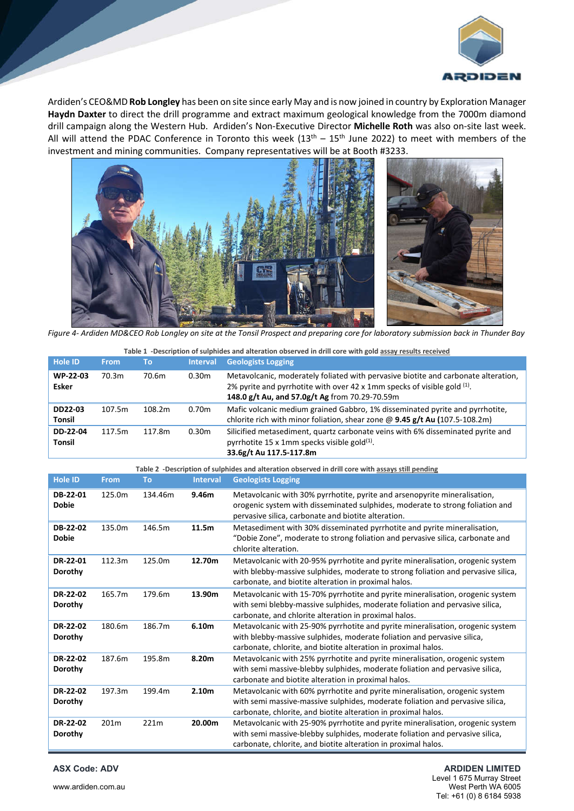

Ardiden's CEO&MD **Rob Longley** has been on site since early May and is now joined in country by Exploration Manager **Haydn Daxter** to direct the drill programme and extract maximum geological knowledge from the 7000m diamond drill campaign along the Western Hub. Ardiden's Non-Executive Director **Michelle Roth** was also on-site last week. All will attend the PDAC Conference in Toronto this week  $(13<sup>th</sup> - 15<sup>th</sup>$  June 2022) to meet with members of the investment and mining communities. Company representatives will be at Booth #3233.



*Figure 4- Ardiden MD&CEO Rob Longley on site at the Tonsil Prospect and preparing core for laboratory submission back in Thunder Bay*

| Table 1 -Description of sulphides and alteration observed in drill core with gold assay results received |  |
|----------------------------------------------------------------------------------------------------------|--|
|                                                                                                          |  |

| <b>Hole ID</b>     | <b>From</b> | Τо     | <b>Interval</b>   | <b>Geologists Logging</b>                                                                                                                                                                                       |
|--------------------|-------------|--------|-------------------|-----------------------------------------------------------------------------------------------------------------------------------------------------------------------------------------------------------------|
| WP-22-03<br>Esker  | 70.3m       | 70.6m  | 0.30 <sub>m</sub> | Metavolcanic, moderately foliated with pervasive biotite and carbonate alteration,<br>2% pyrite and pyrrhotite with over 42 x 1mm specks of visible gold (1).<br>148.0 g/t Au, and 57.0g/t Ag from 70.29-70.59m |
| DD22-03<br>Tonsil  | 107.5m      | 108.2m | 0.70m             | Mafic volcanic medium grained Gabbro, 1% disseminated pyrite and pyrrhotite,<br>chlorite rich with minor foliation, shear zone $\omega$ 9.45 g/t Au (107.5-108.2m)                                              |
| DD-22-04<br>Tonsil | 117.5m      | 117.8m | 0.30 <sub>m</sub> | Silicified metasediment, quartz carbonate veins with 6% disseminated pyrite and<br>pyrrhotite 15 x 1mm specks visible gold $(1)$ .<br>33.6g/t Au 117.5-117.8m                                                   |

| Table 2 -Description of sulphides and alteration observed in drill core with assays still pending |  |
|---------------------------------------------------------------------------------------------------|--|
|                                                                                                   |  |

| <b>Hole ID</b>           | <b>From</b> | <b>To</b> | <b>Interval</b>   | <b>Geologists Logging</b>                                                                                                                                                                                                        |
|--------------------------|-------------|-----------|-------------------|----------------------------------------------------------------------------------------------------------------------------------------------------------------------------------------------------------------------------------|
| DB-22-01<br><b>Dobie</b> | 125.0m      | 134.46m   | 9.46m             | Metavolcanic with 30% pyrrhotite, pyrite and arsenopyrite mineralisation,<br>orogenic system with disseminated sulphides, moderate to strong foliation and<br>pervasive silica, carbonate and biotite alteration.                |
| DB-22-02<br><b>Dobie</b> | 135.0m      | 146.5m    | 11.5m             | Metasediment with 30% disseminated pyrrhotite and pyrite mineralisation,<br>"Dobie Zone", moderate to strong foliation and pervasive silica, carbonate and<br>chlorite alteration.                                               |
| DR-22-01<br>Dorothy      | 112.3m      | 125.0m    | 12.70m            | Metavolcanic with 20-95% pyrrhotite and pyrite mineralisation, orogenic system<br>with blebby-massive sulphides, moderate to strong foliation and pervasive silica,<br>carbonate, and biotite alteration in proximal halos.      |
| DR-22-02<br>Dorothy      | 165.7m      | 179.6m    | 13.90m            | Metavolcanic with 15-70% pyrrhotite and pyrite mineralisation, orogenic system<br>with semi blebby-massive sulphides, moderate foliation and pervasive silica,<br>carbonate, and chlorite alteration in proximal halos.          |
| DR-22-02<br>Dorothy      | 180.6m      | 186.7m    | 6.10m             | Metavolcanic with 25-90% pyrrhotite and pyrite mineralisation, orogenic system<br>with blebby-massive sulphides, moderate foliation and pervasive silica,<br>carbonate, chlorite, and biotite alteration in proximal halos.      |
| DR-22-02<br>Dorothy      | 187.6m      | 195.8m    | 8.20m             | Metavolcanic with 25% pyrrhotite and pyrite mineralisation, orogenic system<br>with semi massive-blebby sulphides, moderate foliation and pervasive silica,<br>carbonate and biotite alteration in proximal halos.               |
| DR-22-02<br>Dorothy      | 197.3m      | 199.4m    | 2.10 <sub>m</sub> | Metavolcanic with 60% pyrrhotite and pyrite mineralisation, orogenic system<br>with semi massive-massive sulphides, moderate foliation and pervasive silica,<br>carbonate, chlorite, and biotite alteration in proximal halos.   |
| DR-22-02<br>Dorothy      | 201m        | 221m      | 20.00m            | Metavolcanic with 25-90% pyrrhotite and pyrite mineralisation, orogenic system<br>with semi massive-blebby sulphides, moderate foliation and pervasive silica,<br>carbonate, chlorite, and biotite alteration in proximal halos. |

**ASX Code: ADV**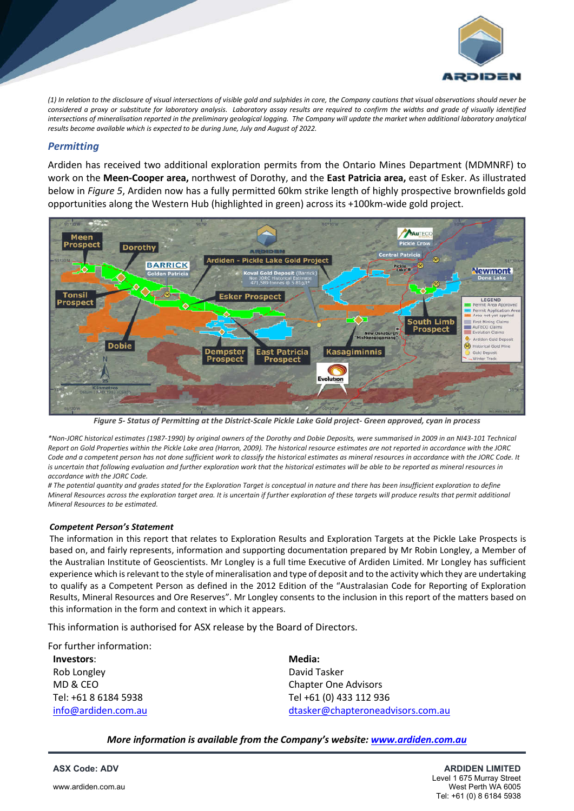

 *(1) In relation to the disclosure of visual intersections of visible gold and sulphides in core, the Company cautions that visual observations should never be considered a proxy or substitute for laboratory analysis. Laboratory assay results are required to confirm the widths and grade of visually identified intersections of mineralisation reported in the preliminary geological logging. The Company will update the market when additional laboratory analytical results become available which is expected to be during June, July and August of 2022.*

### *Permitting*

Ardiden has received two additional exploration permits from the Ontario Mines Department (MDMNRF) to work on the **Meen-Cooper area,** northwest of Dorothy, and the **East Patricia area,** east of Esker. As illustrated below in *Figure 5*, Ardiden now has a fully permitted 60km strike length of highly prospective brownfields gold opportunities along the Western Hub (highlighted in green) across its +100km-wide gold project.



*Figure 5- Status of Permitting at the District-Scale Pickle Lake Gold project- Green approved, cyan in process*

*\*Non-JORC historical estimates (1987-1990) by original owners of the Dorothy and Dobie Deposits, were summarised in 2009 in an NI43-101 Technical Report on Gold Properties within the Pickle Lake area (Harron, 2009). The historical resource estimates are not reported in accordance with the JORC*  Code and a competent person has not done sufficient work to classify the historical estimates as mineral resources in accordance with the JORC Code. It is uncertain that following evaluation and further exploration work that the historical estimates will be able to be reported as mineral resources in *accordance with the JORC Code.* 

*# The potential quantity and grades stated for the Exploration Target is conceptual in nature and there has been insufficient exploration to define Mineral Resources across the exploration target area. It is uncertain if further exploration of these targets will produce results that permit additional Mineral Resources to be estimated.*

#### *Competent Person's Statement*

The information in this report that relates to Exploration Results and Exploration Targets at the Pickle Lake Prospects is based on, and fairly represents, information and supporting documentation prepared by Mr Robin Longley, a Member of the Australian Institute of Geoscientists. Mr Longley is a full time Executive of Ardiden Limited. Mr Longley has sufficient experience which is relevant to the style of mineralisation and type of deposit and to the activity which they are undertaking to qualify as a Competent Person as defined in the 2012 Edition of the "Australasian Code for Reporting of Exploration Results, Mineral Resources and Ore Reserves". Mr Longley consents to the inclusion in this report of the matters based on this information in the form and context in which it appears.

This information is authorised for ASX release by the Board of Directors.

For further information:

**Investors**: Rob Longley MD & CEO Tel: +61 8 6184 5938 info@ardiden.com.au **Media:** David Tasker Chapter One Advisors Tel +61 (0) 433 112 936 dtasker@chapteroneadvisors.com.au

*More information is available from the Company's website: www.ardiden.com.au*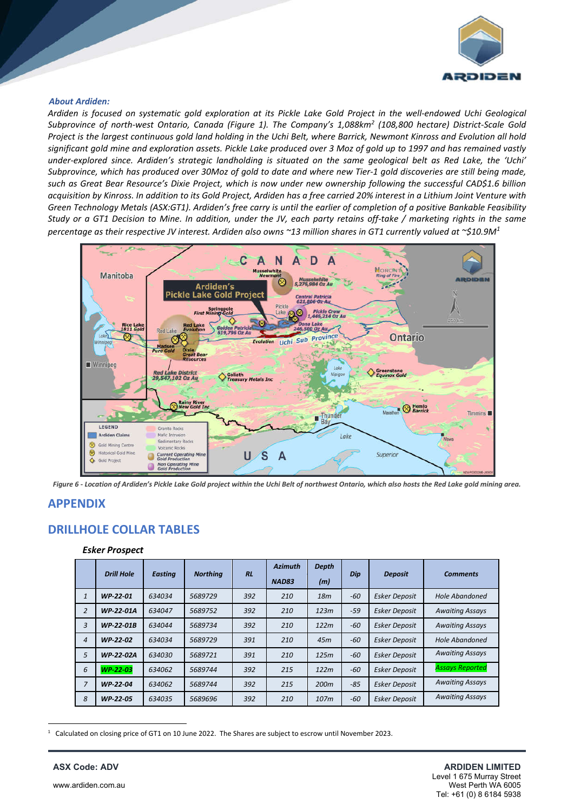

#### *About Ardiden:*

*Ardiden is focused on systematic gold exploration at its Pickle Lake Gold Project in the well-endowed Uchi Geological Subprovince of north-west Ontario, Canada (Figure 1). The Company's 1,088km2 (108,800 hectare) District-Scale Gold Project is the largest continuous gold land holding in the Uchi Belt, where Barrick, Newmont Kinross and Evolution all hold significant gold mine and exploration assets. Pickle Lake produced over 3 Moz of gold up to 1997 and has remained vastly under-explored since. Ardiden's strategic landholding is situated on the same geological belt as Red Lake, the 'Uchi' Subprovince, which has produced over 30Moz of gold to date and where new Tier-1 gold discoveries are still being made, such as Great Bear Resource's Dixie Project, which is now under new ownership following the successful CAD\$1.6 billion acquisition by Kinross. In addition to its Gold Project, Ardiden has a free carried 20% interest in a Lithium Joint Venture with Green Technology Metals (ASX:GT1). Ardiden's free carry is until the earlier of completion of a positive Bankable Feasibility Study or a GT1 Decision to Mine. In addition, under the JV, each party retains off-take / marketing rights in the same percentage as their respective JV interest. Ardiden also owns ~13 million shares in GT1 currently valued at ~\$10.9M<sup>1</sup>*



*Figure 6 - Location of Ardiden's Pickle Lake Gold project within the Uchi Belt of northwest Ontario, which also hosts the Red Lake gold mining area.*

#### **APPENDIX**

### **DRILLHOLE COLLAR TABLES**

#### *Esker Prospect*

|                | <b>Drill Hole</b> | <b>Eastina</b> | <b>Northing</b> | <b>RL</b> | <b>Azimuth</b><br><b>NAD83</b> | <b>Depth</b><br>(m) | Dip   | <b>Deposit</b>       | <b>Comments</b>        |
|----------------|-------------------|----------------|-----------------|-----------|--------------------------------|---------------------|-------|----------------------|------------------------|
| $\mathbf{1}$   | WP-22-01          | 634034         | 5689729         | 392       | 210                            | 18m                 | $-60$ | <b>Esker Deposit</b> | Hole Abandoned         |
| $\overline{2}$ | WP-22-01A         | 634047         | 5689752         | 392       | 210                            | 123m                | $-59$ | <b>Esker Deposit</b> | <b>Awaiting Assays</b> |
| 3              | WP-22-01B         | 634044         | 5689734         | 392       | 210                            | 122m                | $-60$ | <b>Esker Deposit</b> | <b>Awaiting Assays</b> |
| $\overline{a}$ | WP 22-02          | 634034         | 5689729         | 391       | 210                            | 45m                 | $-60$ | <b>Esker Deposit</b> | <b>Hole Abandoned</b>  |
| 5              | WP-22-02A         | 634030         | 5689721         | 391       | 210                            | 125m                | $-60$ | <b>Esker Deposit</b> | <b>Awaiting Assays</b> |
| 6              | WP-22-03          | 634062         | 5689744         | 392       | 215                            | 122m                | $-60$ | <b>Esker Deposit</b> | <b>Assays Reported</b> |
| $\overline{7}$ | WP-22-04          | 634062         | 5689744         | 392       | 215                            | 200m                | $-85$ | <b>Esker Deposit</b> | <b>Awaiting Assays</b> |
| 8              | WP-22-05          | 634035         | 5689696         | 392       | 210                            | 107m                | $-60$ | <b>Esker Deposit</b> | <b>Awaiting Assays</b> |

1 Calculated on closing price of GT1 on 10 June 2022. The Shares are subject to escrow until November 2023.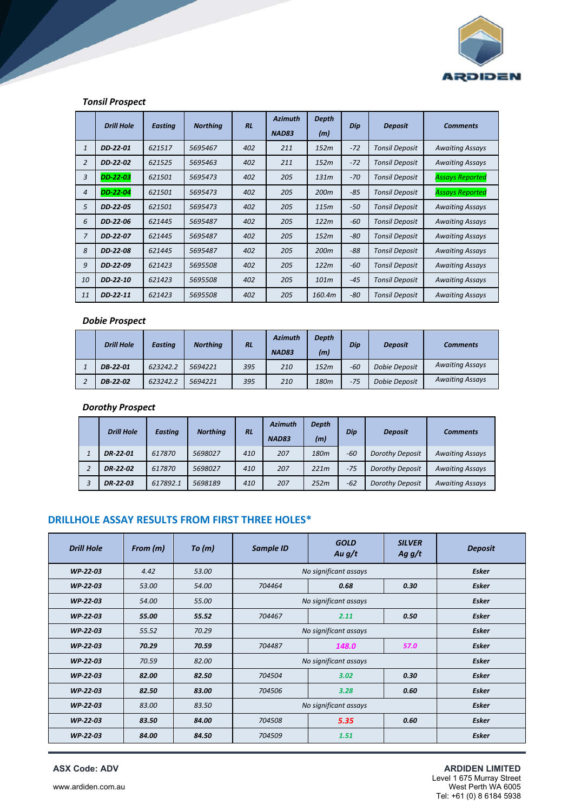

#### *Tonsil Prospect*

|                | <b>Drill Hole</b> | <b>Easting</b> | <b>Northing</b> | RL  | <b>Azimuth</b><br><b>NAD83</b> | <b>Depth</b><br>(m) | Dip   | <b>Deposit</b>        | <b>Comments</b>        |
|----------------|-------------------|----------------|-----------------|-----|--------------------------------|---------------------|-------|-----------------------|------------------------|
| $\mathbf{1}$   | DD-22-01          | 621517         | 5695467         | 402 | 211                            | 152m                | $-72$ | <b>Tonsil Deposit</b> | <b>Awaiting Assays</b> |
| 2              | DD-22-02          | 621525         | 5695463         | 402 | 211                            | 152m                | $-72$ | <b>Tonsil Deposit</b> | <b>Awaiting Assays</b> |
| 3              | DD-22-03          | 621501         | 5695473         | 402 | 205                            | 131m                | $-70$ | <b>Tonsil Deposit</b> | <b>Assays Reported</b> |
| 4              | DD-22-04          | 621501         | 5695473         | 402 | 205                            | 200m                | $-85$ | <b>Tonsil Deposit</b> | <b>Assays Reported</b> |
| 5              | DD-22-05          | 621501         | 5695473         | 402 | 205                            | 115m                | $-50$ | <b>Tonsil Deposit</b> | <b>Awaiting Assays</b> |
| 6              | DD-22-06          | 621445         | 5695487         | 402 | 205                            | 122m                | $-60$ | <b>Tonsil Deposit</b> | <b>Awaiting Assays</b> |
| $\overline{7}$ | DD-22-07          | 621445         | 5695487         | 402 | 205                            | 152m                | $-80$ | <b>Tonsil Deposit</b> | <b>Awaiting Assays</b> |
| 8              | DD-22-08          | 621445         | 5695487         | 402 | 205                            | 200m                | $-88$ | <b>Tonsil Deposit</b> | <b>Awaiting Assays</b> |
| 9              | DD-22-09          | 621423         | 5695508         | 402 | 205                            | 122m                | $-60$ | <b>Tonsil Deposit</b> | <b>Awaiting Assays</b> |
| 10             | DD-22-10          | 621423         | 5695508         | 402 | 205                            | 101m                | $-45$ | <b>Tonsil Deposit</b> | <b>Awaiting Assays</b> |
| 11             | DD-22-11          | 621423         | 5695508         | 402 | 205                            | 160.4m              | $-80$ | <b>Tonsil Deposit</b> | <b>Awaiting Assays</b> |

#### *Dobie Prospect*

| <b>Drill Hole</b> | <b>Easting</b> | <b>Northing</b> | RL  | <b>Azimuth</b><br><b>NAD83</b> | Depth<br>(m) | Dip   | <b>Deposit</b> | <b>Comments</b>        |
|-------------------|----------------|-----------------|-----|--------------------------------|--------------|-------|----------------|------------------------|
| DB-22-01          | 623242.2       | 5694221         | 395 | 210                            | 152m         | -60   | Dobie Deposit  | <b>Awaiting Assays</b> |
| DB-22-02          | 623242.2       | 5694221         | 395 | 210                            | 180m         | $-75$ | Dobie Deposit  | <b>Awaiting Assays</b> |

### *Dorothy Prospect*

| <b>Drill Hole</b> | <b>Eastina</b> | <b>Northing</b> | <b>RL</b> | <b>Azimuth</b><br><b>NAD83</b> | <b>Depth</b><br>(m) | Dip   | <b>Deposit</b>  | <b>Comments</b>        |
|-------------------|----------------|-----------------|-----------|--------------------------------|---------------------|-------|-----------------|------------------------|
| DR-22-01          | 617870         | 5698027         | 410       | 207                            | 180m                | $-60$ | Dorothy Deposit | <b>Awaiting Assays</b> |
| DR-22-02          | 617870         | 5698027         | 410       | 207                            | 221m                | $-75$ | Dorothy Deposit | <b>Awaiting Assays</b> |
| DR-22-03          | 617892.1       | 5698189         | 410       | 207                            | 252m                | $-62$ | Dorothy Deposit | <b>Awaiting Assays</b> |

### **DRILLHOLE ASSAY RESULTS FROM FIRST THREE HOLES\***

| <b>Drill Hole</b> | From (m) | To(m) | <b>GOLD</b><br>Sample ID<br>Au $g/t$ |                       | <b>SILVER</b><br>Ag $g/t$ | <b>Deposit</b> |  |
|-------------------|----------|-------|--------------------------------------|-----------------------|---------------------------|----------------|--|
| WP 22-03          | 4.42     | 53.00 |                                      | No significant assays |                           |                |  |
| WP 22-03          | 53.00    | 54.00 | 704464                               | 0.68                  | 0.30                      | <b>Esker</b>   |  |
| WP 22-03          | 54.00    | 55.00 | No significant assays                | <b>Esker</b>          |                           |                |  |
| WP 22-03          | 55.00    | 55.52 | 704467                               | 2.11                  |                           | <b>Esker</b>   |  |
| WP 22-03          | 55.52    | 70.29 | No significant assays                | <b>Esker</b>          |                           |                |  |
| WP 22-03          | 70.29    | 70.59 | 704487                               | 148.0                 |                           | <b>Esker</b>   |  |
| WP 22-03          | 70.59    | 82.00 |                                      | No significant assays |                           | <b>Esker</b>   |  |
| WP 22-03          | 82.00    | 82.50 | 704504                               | 3.02                  | 0.30                      | <b>Esker</b>   |  |
| WP 22-03          | 82.50    | 83.00 | 704506                               | 3.28                  | 0.60                      | <b>Esker</b>   |  |
| WP 22-03          | 83.00    | 83.50 | No significant assays                | <b>Esker</b>          |                           |                |  |
| WP 22-03          | 83.50    | 84.00 | 5.35<br>704508                       |                       | 0.60                      | <b>Esker</b>   |  |
| WP 22-03          | 84.00    | 84.50 | 704509                               | 1.51                  |                           | <b>Esker</b>   |  |

**ASX Code: ADV** 

#### **ARDIDEN LIMITED** Level 1 675 Murray Street West Perth WA 6005 Tel: +61 (0) 8 6184 5938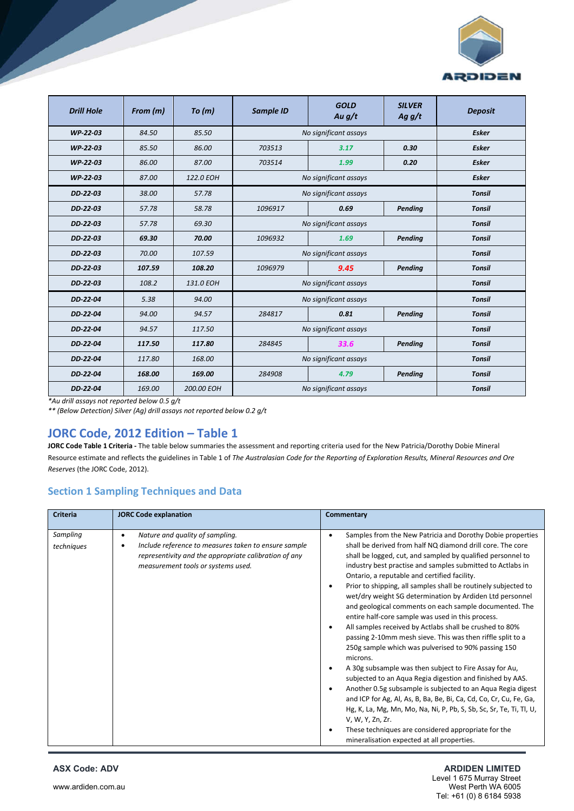

| <b>Drill Hole</b> | From (m) | To(m)      | Sample ID                 | <b>GOLD</b><br>Au $q/t$ | <b>SILVER</b><br>Aq g/t | <b>Deposit</b> |  |
|-------------------|----------|------------|---------------------------|-------------------------|-------------------------|----------------|--|
| WP 22-03          | 84.50    | 85.50      |                           | No significant assays   |                         | <b>Esker</b>   |  |
| WP 22-03          | 85.50    | 86.00      | 703513                    | 3.17                    | 0.30                    | <b>Esker</b>   |  |
| WP 22-03          | 86.00    | 87.00      | 703514                    | 1.99                    | 0.20                    | <b>Esker</b>   |  |
| WP 22-03          | 87.00    | 122.0 EOH  |                           | No significant assays   |                         | <b>Esker</b>   |  |
| DD-22-03          | 38.00    | 57.78      |                           | No significant assays   |                         | <b>Tonsil</b>  |  |
| DD-22-03          | 57.78    | 58.78      | 1096917<br>0.69           |                         | Pending                 | <b>Tonsil</b>  |  |
| DD-22-03          | 57.78    | 69.30      | No significant assays     | <b>Tonsil</b>           |                         |                |  |
| DD-22-03          | 69.30    | 70.00      | 1096932<br>1.69           |                         | Pending                 | <b>Tonsil</b>  |  |
| DD-22-03          | 70.00    | 107.59     |                           | No significant assays   |                         |                |  |
| DD-22-03          | 107.59   | 108.20     | 1096979                   | 9.45                    | Pending                 | <b>Tonsil</b>  |  |
| DD-22-03          | 108.2    | 131.0 EOH  |                           | No significant assays   |                         | <b>Tonsil</b>  |  |
| DD-22-04          | 5.38     | 94.00      |                           | No significant assays   |                         | <b>Tonsil</b>  |  |
| DD-22-04          | 94.00    | 94.57      | 284817                    | 0.81                    | Pending                 | <b>Tonsil</b>  |  |
| DD-22-04          | 94.57    | 117.50     |                           | No significant assays   |                         | <b>Tonsil</b>  |  |
| DD-22-04          | 117.50   | 117.80     | 284845<br>Pending<br>33.6 |                         | <b>Tonsil</b>           |                |  |
| DD-22-04          | 117.80   | 168.00     |                           | No significant assays   |                         | <b>Tonsil</b>  |  |
| DD-22-04          | 168.00   | 169.00     | 284908                    | 4.79                    | Pending                 | <b>Tonsil</b>  |  |
| DD-22-04          | 169.00   | 200.00 EOH |                           | No significant assays   |                         | <b>Tonsil</b>  |  |

*\*Au drill assays not reported below 0.5 g/t* 

*\*\* (Below Detection) Silver (Ag) drill assays not reported below 0.2 g/t*

# **JORC Code, 2012 Edition – Table 1**

**JORC Code Table 1 Criteria -** The table below summaries the assessment and reporting criteria used for the New Patricia/Dorothy Dobie Mineral Resource estimate and reflects the guidelines in Table 1 of *The Australasian Code for the Reporting of Exploration Results, Mineral Resources and Ore Reserves* (the JORC Code, 2012).

# **Section 1 Sampling Techniques and Data**

| <b>Criteria</b>        | <b>JORC Code explanation</b>                                                                                                                                                                             | Commentary                                                                                                                                                                                                                                                                                                                                                                                                                                                                                                                                                                                                                                                                                                                                                                                                                                                                                                                                                                                                                                                                                                                                                                                                                                                                               |
|------------------------|----------------------------------------------------------------------------------------------------------------------------------------------------------------------------------------------------------|------------------------------------------------------------------------------------------------------------------------------------------------------------------------------------------------------------------------------------------------------------------------------------------------------------------------------------------------------------------------------------------------------------------------------------------------------------------------------------------------------------------------------------------------------------------------------------------------------------------------------------------------------------------------------------------------------------------------------------------------------------------------------------------------------------------------------------------------------------------------------------------------------------------------------------------------------------------------------------------------------------------------------------------------------------------------------------------------------------------------------------------------------------------------------------------------------------------------------------------------------------------------------------------|
| Sampling<br>techniques | Nature and quality of sampling.<br>٠<br>Include reference to measures taken to ensure sample<br>$\bullet$<br>representivity and the appropriate calibration of any<br>measurement tools or systems used. | Samples from the New Patricia and Dorothy Dobie properties<br>$\bullet$<br>shall be derived from half NQ diamond drill core. The core<br>shall be logged, cut, and sampled by qualified personnel to<br>industry best practise and samples submitted to Actlabs in<br>Ontario, a reputable and certified facility.<br>Prior to shipping, all samples shall be routinely subjected to<br>$\bullet$<br>wet/dry weight SG determination by Ardiden Ltd personnel<br>and geological comments on each sample documented. The<br>entire half-core sample was used in this process.<br>All samples received by Actlabs shall be crushed to 80%<br>$\bullet$<br>passing 2-10mm mesh sieve. This was then riffle split to a<br>250g sample which was pulverised to 90% passing 150<br>microns.<br>A 30g subsample was then subject to Fire Assay for Au,<br>$\bullet$<br>subjected to an Aqua Regia digestion and finished by AAS.<br>Another 0.5g subsample is subjected to an Aqua Regia digest<br>$\bullet$<br>and ICP for Ag, Al, As, B, Ba, Be, Bi, Ca, Cd, Co, Cr, Cu, Fe, Ga,<br>Hg, K, La, Mg, Mn, Mo, Na, Ni, P, Pb, S, Sb, Sc, Sr, Te, Ti, Tl, U,<br>V, W, Y, Zn, Zr.<br>These techniques are considered appropriate for the<br>$\bullet$<br>mineralisation expected at all properties. |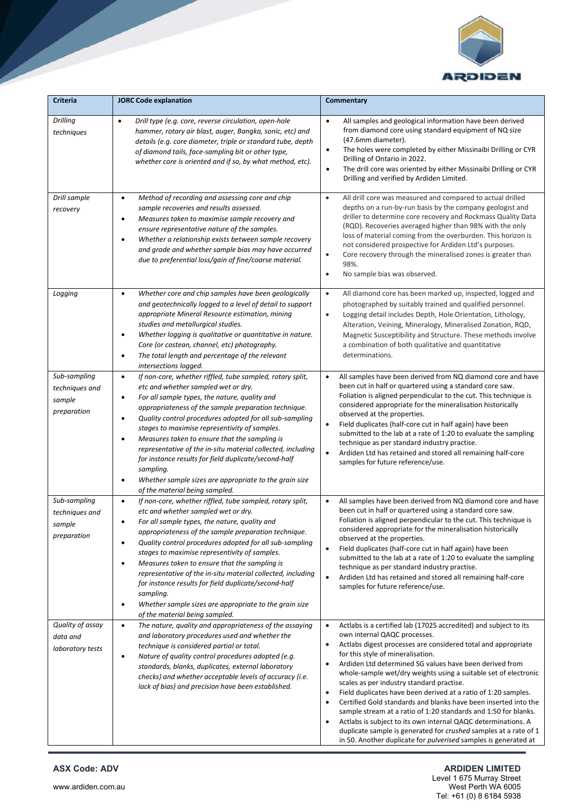

| <b>Criteria</b>                                         | <b>JORC Code explanation</b>                                                                                                                                                                                                                                                                                                                                                                                                                                                                                                                                                                                                                                    | Commentary                                                                                                                                                                                                                                                                                                                                                                                                                                                                                                                                                                                                                                                                                                                                                                                                                                                         |
|---------------------------------------------------------|-----------------------------------------------------------------------------------------------------------------------------------------------------------------------------------------------------------------------------------------------------------------------------------------------------------------------------------------------------------------------------------------------------------------------------------------------------------------------------------------------------------------------------------------------------------------------------------------------------------------------------------------------------------------|--------------------------------------------------------------------------------------------------------------------------------------------------------------------------------------------------------------------------------------------------------------------------------------------------------------------------------------------------------------------------------------------------------------------------------------------------------------------------------------------------------------------------------------------------------------------------------------------------------------------------------------------------------------------------------------------------------------------------------------------------------------------------------------------------------------------------------------------------------------------|
| Drilling<br>techniques                                  | $\bullet$<br>Drill type (e.g. core, reverse circulation, open-hole<br>hammer, rotary air blast, auger, Bangka, sonic, etc) and<br>details (e.g. core diameter, triple or standard tube, depth<br>of diamond tails, face-sampling bit or other type,<br>whether core is oriented and if so, by what method, etc).                                                                                                                                                                                                                                                                                                                                                | All samples and geological information have been derived<br>$\bullet$<br>from diamond core using standard equipment of NQ size<br>(47.6mm diameter).<br>The holes were completed by either Missinaibi Drilling or CYR<br>$\bullet$<br>Drilling of Ontario in 2022.<br>The drill core was oriented by either Missinaibi Drilling or CYR<br>$\bullet$<br>Drilling and verified by Ardiden Limited.                                                                                                                                                                                                                                                                                                                                                                                                                                                                   |
| Drill sample<br>recovery                                | Method of recording and assessing core and chip<br>$\bullet$<br>sample recoveries and results assessed.<br>Measures taken to maximise sample recovery and<br>$\bullet$<br>ensure representative nature of the samples.<br>Whether a relationship exists between sample recovery<br>$\bullet$<br>and grade and whether sample bias may have occurred<br>due to preferential loss/gain of fine/coarse material.                                                                                                                                                                                                                                                   | All drill core was measured and compared to actual drilled<br>$\bullet$<br>depths on a run-by-run basis by the company geologist and<br>driller to determine core recovery and Rockmass Quality Data<br>(RQD). Recoveries averaged higher than 98% with the only<br>loss of material coming from the overburden. This horizon is<br>not considered prospective for Ardiden Ltd's purposes.<br>Core recovery through the mineralised zones is greater than<br>$\bullet$<br>98%.<br>No sample bias was observed.<br>$\bullet$                                                                                                                                                                                                                                                                                                                                        |
| Logging                                                 | Whether core and chip samples have been geologically<br>$\bullet$<br>and geotechnically logged to a level of detail to support<br>appropriate Mineral Resource estimation, mining<br>studies and metallurgical studies.<br>Whether logging is qualitative or quantitative in nature.<br>$\bullet$<br>Core (or costean, channel, etc) photography.<br>The total length and percentage of the relevant<br>$\bullet$<br>intersections logged.                                                                                                                                                                                                                      | All diamond core has been marked up, inspected, logged and<br>$\bullet$<br>photographed by suitably trained and qualified personnel.<br>Logging detail includes Depth, Hole Orientation, Lithology,<br>$\bullet$<br>Alteration, Veining, Mineralogy, Mineralised Zonation, RQD,<br>Magnetic Susceptibility and Structure. These methods involve<br>a combination of both qualitative and quantitative<br>determinations.                                                                                                                                                                                                                                                                                                                                                                                                                                           |
| Sub-sampling<br>techniques and<br>sample<br>preparation | If non-core, whether riffled, tube sampled, rotary split,<br>$\bullet$<br>etc and whether sampled wet or dry.<br>For all sample types, the nature, quality and<br>$\bullet$<br>appropriateness of the sample preparation technique.<br>Quality control procedures adopted for all sub-sampling<br>$\bullet$<br>stages to maximise representivity of samples.<br>Measures taken to ensure that the sampling is<br>$\bullet$<br>representative of the in-situ material collected, including<br>for instance results for field duplicate/second-half<br>sampling.<br>Whether sample sizes are appropriate to the grain size<br>٠<br>of the material being sampled. | All samples have been derived from NQ diamond core and have<br>$\bullet$<br>been cut in half or quartered using a standard core saw.<br>Foliation is aligned perpendicular to the cut. This technique is<br>considered appropriate for the mineralisation historically<br>observed at the properties.<br>Field duplicates (half-core cut in half again) have been<br>submitted to the lab at a rate of 1:20 to evaluate the sampling<br>technique as per standard industry practise.<br>$\bullet$<br>Ardiden Ltd has retained and stored all remaining half-core<br>samples for future reference/use.                                                                                                                                                                                                                                                              |
| Sub-sampling<br>techniques and<br>sample<br>preparation | If non-core, whether riffled, tube sampled, rotary split,<br>$\bullet$<br>etc and whether sampled wet or dry.<br>For all sample types, the nature, quality and<br>appropriateness of the sample preparation technique.<br>Quality control procedures adopted for all sub-sampling<br>$\bullet$<br>stages to maximise representivity of samples.<br>Measures taken to ensure that the sampling is<br>$\bullet$<br>representative of the in-situ material collected, including<br>for instance results for field duplicate/second-half<br>sampling.<br>Whether sample sizes are appropriate to the grain size<br>٠<br>of the material being sampled.              | All samples have been derived from NQ diamond core and have<br>$\bullet$<br>been cut in half or quartered using a standard core saw.<br>Foliation is aligned perpendicular to the cut. This technique is<br>considered appropriate for the mineralisation historically<br>observed at the properties.<br>$\bullet$<br>Field duplicates (half-core cut in half again) have been<br>submitted to the lab at a rate of 1:20 to evaluate the sampling<br>technique as per standard industry practise.<br>$\bullet$<br>Ardiden Ltd has retained and stored all remaining half-core<br>samples for future reference/use.                                                                                                                                                                                                                                                 |
| Quality of assay<br>data and<br>laboratory tests        | The nature, quality and appropriateness of the assaying<br>$\bullet$<br>and laboratory procedures used and whether the<br>technique is considered partial or total.<br>Nature of quality control procedures adopted (e.g.<br>$\bullet$<br>standards, blanks, duplicates, external laboratory<br>checks) and whether acceptable levels of accuracy (i.e.<br>lack of bias) and precision have been established.                                                                                                                                                                                                                                                   | Actlabs is a certified lab (17025 accredited) and subject to its<br>$\bullet$<br>own internal QAQC processes.<br>Actlabs digest processes are considered total and appropriate<br>$\bullet$<br>for this style of mineralisation.<br>Ardiden Ltd determined SG values have been derived from<br>whole-sample wet/dry weights using a suitable set of electronic<br>scales as per industry standard practise.<br>Field duplicates have been derived at a ratio of 1:20 samples.<br>$\bullet$<br>Certified Gold standards and blanks have been inserted into the<br>$\bullet$<br>sample stream at a ratio of 1:20 standards and 1:50 for blanks.<br>Actlabs is subject to its own internal QAQC determinations. A<br>$\bullet$<br>duplicate sample is generated for crushed samples at a rate of 1<br>in 50. Another duplicate for pulverised samples is generated at |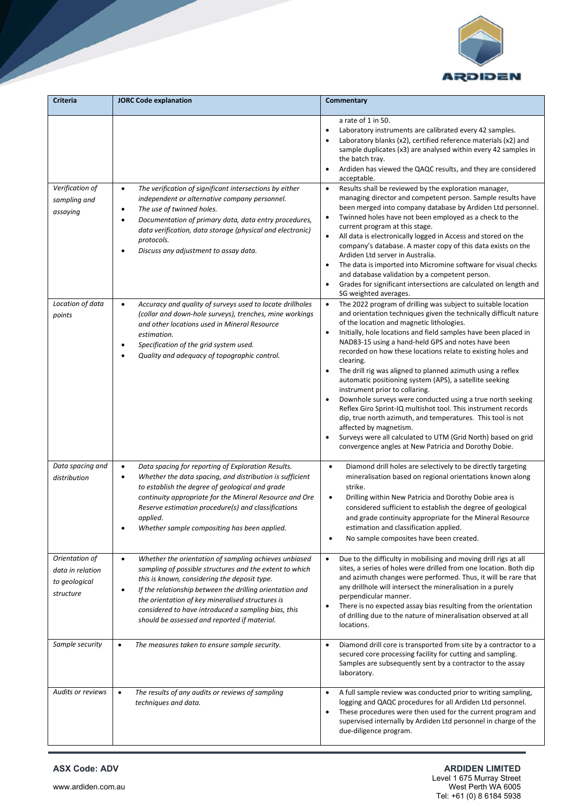

| <b>Criteria</b>                                                  | <b>JORC Code explanation</b>                                                                                                                                                                                                                                                                                                                                                                              | Commentary                                                                                                                                                                                                                                                                                                                                                                                                                                                                                                                                                                                                                                                                                                                                                                                                                                                                                                                                              |
|------------------------------------------------------------------|-----------------------------------------------------------------------------------------------------------------------------------------------------------------------------------------------------------------------------------------------------------------------------------------------------------------------------------------------------------------------------------------------------------|---------------------------------------------------------------------------------------------------------------------------------------------------------------------------------------------------------------------------------------------------------------------------------------------------------------------------------------------------------------------------------------------------------------------------------------------------------------------------------------------------------------------------------------------------------------------------------------------------------------------------------------------------------------------------------------------------------------------------------------------------------------------------------------------------------------------------------------------------------------------------------------------------------------------------------------------------------|
| Verification of                                                  | The verification of significant intersections by either<br>$\bullet$                                                                                                                                                                                                                                                                                                                                      | a rate of 1 in 50.<br>Laboratory instruments are calibrated every 42 samples.<br>$\bullet$<br>Laboratory blanks (x2), certified reference materials (x2) and<br>sample duplicates (x3) are analysed within every 42 samples in<br>the batch tray.<br>Ardiden has viewed the QAQC results, and they are considered<br>acceptable.<br>Results shall be reviewed by the exploration manager,<br>$\bullet$                                                                                                                                                                                                                                                                                                                                                                                                                                                                                                                                                  |
| sampling and<br>assaying                                         | independent or alternative company personnel.<br>The use of twinned holes.<br>$\bullet$<br>Documentation of primary data, data entry procedures,<br>$\bullet$<br>data verification, data storage (physical and electronic)<br>protocols.<br>Discuss any adjustment to assay data.                                                                                                                         | managing director and competent person. Sample results have<br>been merged into company database by Ardiden Ltd personnel.<br>Twinned holes have not been employed as a check to the<br>$\bullet$<br>current program at this stage.<br>All data is electronically logged in Access and stored on the<br>$\bullet$<br>company's database. A master copy of this data exists on the<br>Ardiden Ltd server in Australia.<br>The data is imported into Micromine software for visual checks<br>$\bullet$<br>and database validation by a competent person.<br>Grades for significant intersections are calculated on length and<br>SG weighted averages.                                                                                                                                                                                                                                                                                                    |
| Location of data<br>points                                       | Accuracy and quality of surveys used to locate drillholes<br>$\bullet$<br>(collar and down-hole surveys), trenches, mine workings<br>and other locations used in Mineral Resource<br>estimation.<br>Specification of the grid system used.<br>$\bullet$<br>Quality and adequacy of topographic control.<br>$\bullet$                                                                                      | The 2022 program of drilling was subject to suitable location<br>$\bullet$<br>and orientation techniques given the technically difficult nature<br>of the location and magnetic lithologies.<br>Initially, hole locations and field samples have been placed in<br>$\bullet$<br>NAD83-15 using a hand-held GPS and notes have been<br>recorded on how these locations relate to existing holes and<br>clearing.<br>The drill rig was aligned to planned azimuth using a reflex<br>$\bullet$<br>automatic positioning system (APS), a satellite seeking<br>instrument prior to collaring.<br>Downhole surveys were conducted using a true north seeking<br>$\bullet$<br>Reflex Giro Sprint-IQ multishot tool. This instrument records<br>dip, true north azimuth, and temperatures. This tool is not<br>affected by magnetism.<br>Surveys were all calculated to UTM (Grid North) based on grid<br>convergence angles at New Patricia and Dorothy Dobie. |
| Data spacing and<br>distribution                                 | Data spacing for reporting of Exploration Results.<br>$\bullet$<br>Whether the data spacing, and distribution is sufficient<br>٠<br>to establish the degree of geological and grade<br>continuity appropriate for the Mineral Resource and Ore<br>Reserve estimation procedure(s) and classifications<br>applied.<br>Whether sample compositing has been applied.                                         | Diamond drill holes are selectively to be directly targeting<br>$\bullet$<br>mineralisation based on regional orientations known along<br>strike.<br>$\bullet$<br>Drilling within New Patricia and Dorothy Dobie area is<br>considered sufficient to establish the degree of geological<br>and grade continuity appropriate for the Mineral Resource<br>estimation and classification applied.<br>No sample composites have been created.<br>$\bullet$                                                                                                                                                                                                                                                                                                                                                                                                                                                                                                  |
| Orientation of<br>data in relation<br>to geological<br>structure | Whether the orientation of sampling achieves unbiased<br>$\bullet$<br>sampling of possible structures and the extent to which<br>this is known, considering the deposit type.<br>If the relationship between the drilling orientation and<br>٠<br>the orientation of key mineralised structures is<br>considered to have introduced a sampling bias, this<br>should be assessed and reported if material. | Due to the difficulty in mobilising and moving drill rigs at all<br>$\bullet$<br>sites, a series of holes were drilled from one location. Both dip<br>and azimuth changes were performed. Thus, it will be rare that<br>any drillhole will intersect the mineralisation in a purely<br>perpendicular manner.<br>There is no expected assay bias resulting from the orientation<br>$\bullet$<br>of drilling due to the nature of mineralisation observed at all<br>locations.                                                                                                                                                                                                                                                                                                                                                                                                                                                                            |
| Sample security                                                  | $\bullet$<br>The measures taken to ensure sample security.                                                                                                                                                                                                                                                                                                                                                | Diamond drill core is transported from site by a contractor to a<br>$\bullet$<br>secured core processing facility for cutting and sampling.<br>Samples are subsequently sent by a contractor to the assay<br>laboratory.                                                                                                                                                                                                                                                                                                                                                                                                                                                                                                                                                                                                                                                                                                                                |
| Audits or reviews                                                | The results of any audits or reviews of sampling<br>$\bullet$<br>techniques and data.                                                                                                                                                                                                                                                                                                                     | A full sample review was conducted prior to writing sampling,<br>$\bullet$<br>logging and QAQC procedures for all Ardiden Ltd personnel.<br>These procedures were then used for the current program and<br>$\bullet$<br>supervised internally by Ardiden Ltd personnel in charge of the<br>due-diligence program.                                                                                                                                                                                                                                                                                                                                                                                                                                                                                                                                                                                                                                       |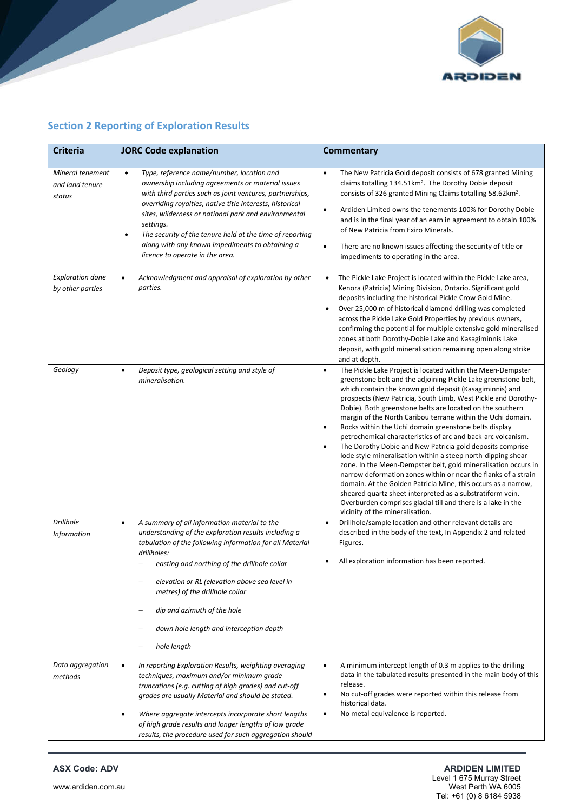

# **Section 2 Reporting of Exploration Results**

| <b>Criteria</b>                               | <b>JORC Code explanation</b>                                                                                                                                                                                                                                                                                                                                                                                                                               | Commentary                                                                                                                                                                                                                                                                                                                                                                                                                                                                                                                                                                                                                                                                                                                                                                                                                                                                                                                                                                                                                                              |
|-----------------------------------------------|------------------------------------------------------------------------------------------------------------------------------------------------------------------------------------------------------------------------------------------------------------------------------------------------------------------------------------------------------------------------------------------------------------------------------------------------------------|---------------------------------------------------------------------------------------------------------------------------------------------------------------------------------------------------------------------------------------------------------------------------------------------------------------------------------------------------------------------------------------------------------------------------------------------------------------------------------------------------------------------------------------------------------------------------------------------------------------------------------------------------------------------------------------------------------------------------------------------------------------------------------------------------------------------------------------------------------------------------------------------------------------------------------------------------------------------------------------------------------------------------------------------------------|
| Mineral tenement<br>and land tenure<br>status | Type, reference name/number, location and<br>$\bullet$<br>ownership including agreements or material issues<br>with third parties such as joint ventures, partnerships,<br>overriding royalties, native title interests, historical<br>sites, wilderness or national park and environmental<br>settings.<br>The security of the tenure held at the time of reporting<br>along with any known impediments to obtaining a<br>licence to operate in the area. | The New Patricia Gold deposit consists of 678 granted Mining<br>$\bullet$<br>claims totalling 134.51km <sup>2</sup> . The Dorothy Dobie deposit<br>consists of 326 granted Mining Claims totalling 58.62km <sup>2</sup> .<br>Ardiden Limited owns the tenements 100% for Dorothy Dobie<br>$\bullet$<br>and is in the final year of an earn in agreement to obtain 100%<br>of New Patricia from Exiro Minerals.<br>There are no known issues affecting the security of title or<br>$\bullet$<br>impediments to operating in the area.                                                                                                                                                                                                                                                                                                                                                                                                                                                                                                                    |
| <b>Exploration done</b><br>by other parties   | Acknowledgment and appraisal of exploration by other<br>$\bullet$<br>parties.                                                                                                                                                                                                                                                                                                                                                                              | The Pickle Lake Project is located within the Pickle Lake area,<br>$\bullet$<br>Kenora (Patricia) Mining Division, Ontario. Significant gold<br>deposits including the historical Pickle Crow Gold Mine.<br>Over 25,000 m of historical diamond drilling was completed<br>$\bullet$<br>across the Pickle Lake Gold Properties by previous owners,<br>confirming the potential for multiple extensive gold mineralised<br>zones at both Dorothy-Dobie Lake and Kasagiminnis Lake<br>deposit, with gold mineralisation remaining open along strike<br>and at depth.                                                                                                                                                                                                                                                                                                                                                                                                                                                                                       |
| Geology                                       | Deposit type, geological setting and style of<br>$\bullet$<br>mineralisation.                                                                                                                                                                                                                                                                                                                                                                              | The Pickle Lake Project is located within the Meen-Dempster<br>$\bullet$<br>greenstone belt and the adjoining Pickle Lake greenstone belt,<br>which contain the known gold deposit (Kasagiminnis) and<br>prospects (New Patricia, South Limb, West Pickle and Dorothy-<br>Dobie). Both greenstone belts are located on the southern<br>margin of the North Caribou terrane within the Uchi domain.<br>Rocks within the Uchi domain greenstone belts display<br>$\bullet$<br>petrochemical characteristics of arc and back-arc volcanism.<br>The Dorothy Dobie and New Patricia gold deposits comprise<br>$\bullet$<br>lode style mineralisation within a steep north-dipping shear<br>zone. In the Meen-Dempster belt, gold mineralisation occurs in<br>narrow deformation zones within or near the flanks of a strain<br>domain. At the Golden Patricia Mine, this occurs as a narrow,<br>sheared quartz sheet interpreted as a substratiform vein.<br>Overburden comprises glacial till and there is a lake in the<br>vicinity of the mineralisation. |
| <b>Drillhole</b><br><b>Information</b>        | A summary of all information material to the<br>$\bullet$<br>understanding of the exploration results including a<br>tabulation of the following information for all Material<br>drillholes:<br>easting and northing of the drillhole collar<br>elevation or RL (elevation above sea level in<br>metres) of the drillhole collar<br>dip and azimuth of the hole<br>down hole length and interception depth<br>hole length                                  | Drillhole/sample location and other relevant details are<br>$\bullet$<br>described in the body of the text, In Appendix 2 and related<br>Figures.<br>All exploration information has been reported.                                                                                                                                                                                                                                                                                                                                                                                                                                                                                                                                                                                                                                                                                                                                                                                                                                                     |
| Data aggregation<br>methods                   | In reporting Exploration Results, weighting averaging<br>$\bullet$<br>techniques, maximum and/or minimum grade<br>truncations (e.g. cutting of high grades) and cut-off<br>grades are usually Material and should be stated.<br>Where aggregate intercepts incorporate short lengths<br>$\bullet$<br>of high grade results and longer lengths of low grade<br>results, the procedure used for such aggregation should                                      | A minimum intercept length of 0.3 m applies to the drilling<br>$\bullet$<br>data in the tabulated results presented in the main body of this<br>release.<br>No cut-off grades were reported within this release from<br>$\bullet$<br>historical data.<br>No metal equivalence is reported.<br>$\bullet$                                                                                                                                                                                                                                                                                                                                                                                                                                                                                                                                                                                                                                                                                                                                                 |